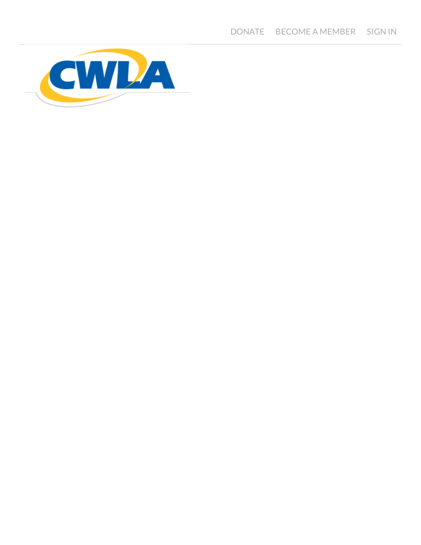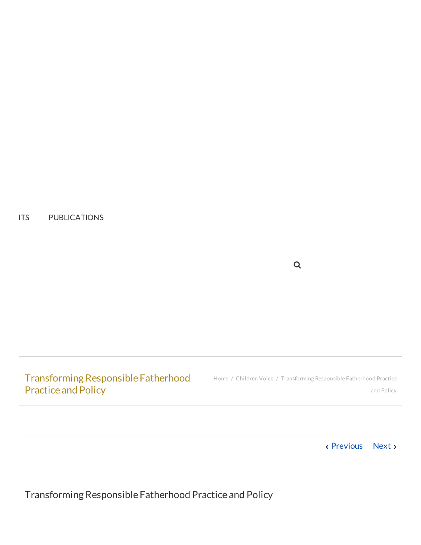ITS [PUBLICATIONS](http://www.cwla.org/publications/)

Transforming Responsible Fatherhood Practice and Policy

[Home](http://www.cwla.org/) / [Children](http://www.cwla.org/category/children-voice/) Voice / Transforming Responsible Fatherhood Practice and Policy

 $\mathsf Q$ 

[Previous](http://www.cwla.org/raising-better-parents-advice-from-a-16-year-old/) [Next](http://www.cwla.org/cwlas-advocacy-tips/)

TransformingResponsible Fatherhood Practice and Policy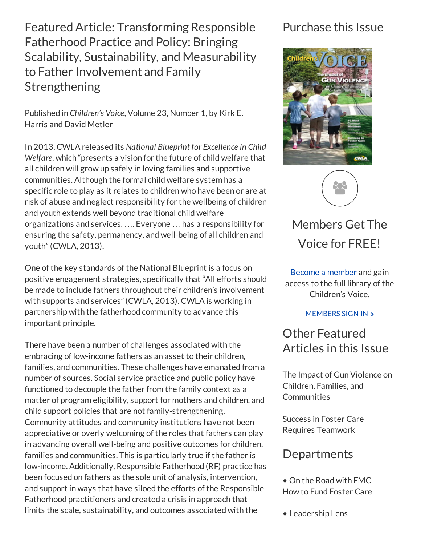FeaturedArticle: Transforming Responsible Fatherhood Practice and Policy: Bringing Scalability, Sustainability, and Measurability to Father Involvement and Family Strengthening

Published in *Children's Voice*, Volume 23, Number 1, by Kirk E. Harris and David Metler

In 2013, CWLA released its *National Blueprint for Excellence in Child Welfare*, which "presents a vision for the future of child welfare that all children will grow up safely in loving families and supportive communities. Although the formal child welfare system has a specific role to play as it relates to children who have been or are at risk of abuse and neglect responsibility for the wellbeing of children and youth extends well beyond traditional child welfare organizations and services. …. Everyone … has a responsibility for ensuring the safety, permanency, and well-being of all children and youth"(CWLA, 2013).

One of the key standards of the National Blueprint is a focus on positive engagement strategies, specifically that "All efforts should be made to include fathers throughout their children's involvement with supports and services"(CWLA, 2013). CWLA is working in partnership with the fatherhood community to advance this important principle.

There have been a number of challenges associated with the embracing of low-income fathers as an asset to their children, families, and communities. These challenges have emanated from a number of sources. Social service practice and public policy have functioned to decouple the father from the family context as a matter of program eligibility, support for mothers and children, and child support policies that are not family-strengthening. Community attitudes and community institutions have not been appreciative or overly welcoming of the roles that fathers can play in advancing overall well-being and positive outcomes for children, families and communities. This is particularly true if the father is low-income. Additionally, Responsible Fatherhood (RF) practice has been focused on fathers as the sole unit of analysis, intervention, and support in ways that have siloed the efforts of the Responsible Fatherhood practitioners and created a crisis in approach that limits the scale, sustainability, and outcomes associated with the

## Purchase this Issue





# [Members](https://uat.netforumpro.com/eWeb/DynamicPage.aspx?Site=CWLA&WebCode=LoginRequired) Get The Voice for FREE!

Become a [member](http://cwla.org/membership/) and gain access to the full library of the Children's Voice.

[MEMBERS](https://uat.netforumpro.com/eWeb/DynamicPage.aspx?Site=CWLA&WebCode=LoginRequired) SIGN IN >

## Other Featured Articles in this Issue

The Impact of Gun Violence on Children, Families, and **Communities** 

Success in Foster Care Requires Teamwork

## **Departments**

- On the Road with FMC How to Fund Foster Care
- Leadership Lens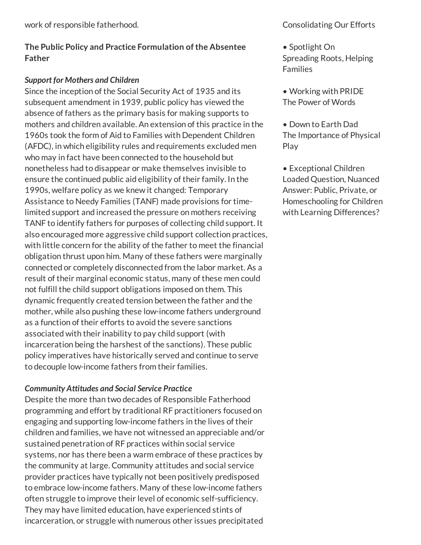#### The Public Policy and Practice Formulation of the Absentee Father

#### *Support for Mothers and Children*

Since the inception of the Social Security Act of 1935 and its subsequent amendment in 1939, public policy has viewed the absence of fathers as the primary basis for making supports to mothers and children available. An extension of this practice in the 1960s took the form of Aid to Families with Dependent Children (AFDC), in which eligibility rules and requirements excluded men who may in fact have been connected to the household but nonetheless had to disappear or make themselves invisible to ensure the continued public aid eligibility of their family. In the 1990s, welfare policy as we knew it changed: Temporary Assistance to Needy Families (TANF) made provisions for timelimited support and increased the pressure on mothers receiving TANF to identify fathers for purposes of collecting child support. It also encouraged more aggressive child support collection practices, with little concern for the ability of the father to meet the financial obligation thrust upon him. Many of these fathers were marginally connected or completely disconnected from the labor market. As a result of their marginal economic status, many of these men could not fulfill the child support obligations imposed on them. This dynamic frequently created tension between the father and the mother, while also pushing these low-income fathers underground as a function of their efforts to avoid the severe sanctions associated with their inability to pay child support (with incarceration being the harshest of the sanctions). These public policy imperatives have historically served and continue to serve to decouple low-income fathers from their families.

#### *Community Attitudes and Social Service Practice*

Despite the more than two decades of Responsible Fatherhood programming and effort by traditional RF practitioners focused on engaging and supporting low-income fathers in the lives of their children and families, we have not witnessed an appreciable and/or sustained penetration of RF practices within social service systems, nor has there been a warm embrace of these practices by the community at large. Community attitudes and social service provider practices have typically not been positively predisposed to embrace low-income fathers. Many of these low-income fathers often struggle to improve their level of economic self-sufficiency. They may have limited education, have experienced stints of incarceration, or struggle with numerous other issues precipitated

- Spotlight On Spreading Roots, Helping Families
- Working with PRIDE The Power of Words
- Down to Earth Dad The Importance of Physical Play
- Exceptional Children Loaded Question, Nuanced Answer: Public, Private, or Homeschooling for Children with Learning Differences?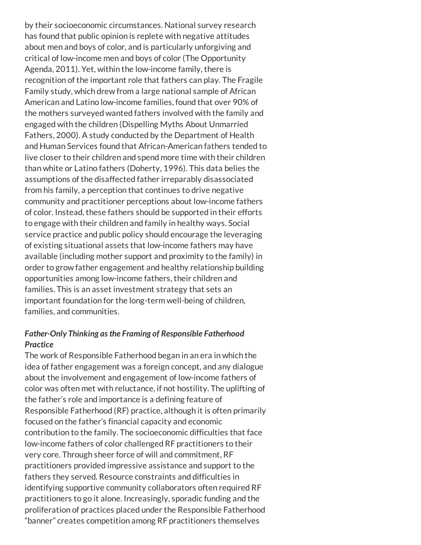by their socioeconomic circumstances. National survey research has found that public opinion is replete with negative attitudes about men and boys of color, and is particularly unforgiving and critical of low-income men and boys of color (The Opportunity Agenda, 2011). Yet, within the low-income family, there is recognition of the important role that fathers can play. The Fragile Family study, which drew from a large national sample of African American and Latino low-income families, found that over 90% of the mothers surveyed wanted fathers involved with the family and engaged with the children (Dispelling Myths About Unmarried Fathers, 2000). A study conducted by the Department of Health and Human Services found that African-American fathers tended to live closer to their children and spend more time with their children than white or Latino fathers (Doherty, 1996). This data belies the assumptions of the disaffected father irreparably disassociated from his family, a perception that continues to drive negative community and practitioner perceptions about low-income fathers of color. Instead, these fathers should be supported in their efforts to engage with their children and family in healthy ways. Social service practice and public policy should encourage the leveraging of existing situational assets that low-income fathers may have available (including mother support and proximity to the family) in order to grow father engagement and healthy relationship building opportunities among low-income fathers, their children and families. This is an asset investment strategy that sets an important foundation for the long-term well-being of children, families, and communities.

#### *Father-Only Thinking as the Framing of Responsible Fatherhood Practice*

The work of Responsible Fatherhood began in an era in which the idea of father engagement was a foreign concept, and any dialogue about the involvement and engagement of low-income fathers of color was often met with reluctance, if not hostility. The uplifting of the father's role and importance is a defining feature of Responsible Fatherhood (RF) practice, although it is often primarily focused on the father's financial capacity and economic contribution to the family. The socioeconomic difficulties that face low-income fathers of color challenged RF practitioners to their very core. Through sheer force of will and commitment, RF practitioners provided impressive assistance and support to the fathers they served. Resource constraints and difficulties in identifying supportive community collaborators often required RF practitioners to go it alone. Increasingly, sporadic funding and the proliferation of practices placed under the Responsible Fatherhood "banner" creates competition among RF practitioners themselves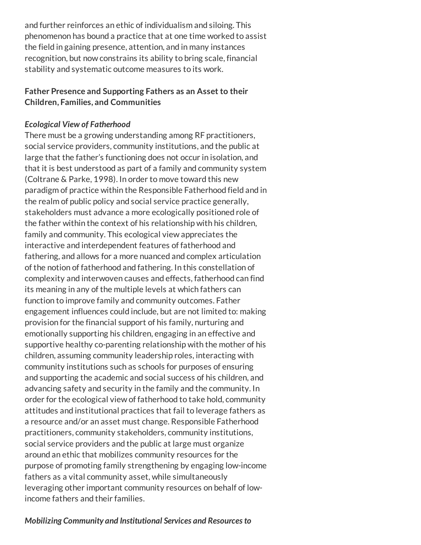and further reinforces an ethic of individualism and siloing. This phenomenon has bound a practice that at one time worked to assist the field in gaining presence, attention, and in many instances recognition, but now constrains its ability to bring scale, financial stability and systematic outcome measures to its work.

#### Father Presence and Supporting Fathers as an Asset to their Children, Families, and Communities

#### *Ecological View of Fatherhood*

There must be a growing understanding among RF practitioners, social service providers, community institutions, and the public at large that the father's functioning does not occur in isolation, and that it is best understood as part of a family and community system (Coltrane & Parke, 1998). In order to move toward this new paradigm of practice within the Responsible Fatherhood field and in the realm of public policy and social service practice generally, stakeholders must advance a more ecologically positioned role of the father within the context of his relationship with his children, family and community. This ecological view appreciates the interactive and interdependent features of fatherhood and fathering, and allows for a more nuanced and complex articulation of the notion of fatherhood and fathering. In this constellation of complexity and interwoven causes and effects, fatherhood can find its meaning in any of the multiple levels at which fathers can function to improve family and community outcomes. Father engagement influences could include, but are not limited to: making provision for the financial support of his family, nurturing and emotionally supporting his children, engaging in an effective and supportive healthy co-parenting relationship with the mother of his children, assuming community leadership roles, interacting with community institutions such as schools for purposes of ensuring and supporting the academic and social success of his children, and advancing safety and security in the family and the community. In order for the ecological view of fatherhood to take hold, community attitudes and institutional practices that fail to leverage fathers as a resource and/or an asset must change. Responsible Fatherhood practitioners, community stakeholders, community institutions, social service providers and the public at large must organize around an ethic that mobilizes community resources for the purpose of promoting family strengthening by engaging low-income fathers as a vital community asset, while simultaneously leveraging other important community resources on behalf of lowincome fathers and their families.

#### *Mobilizing Community and Institutional Services and Resources to*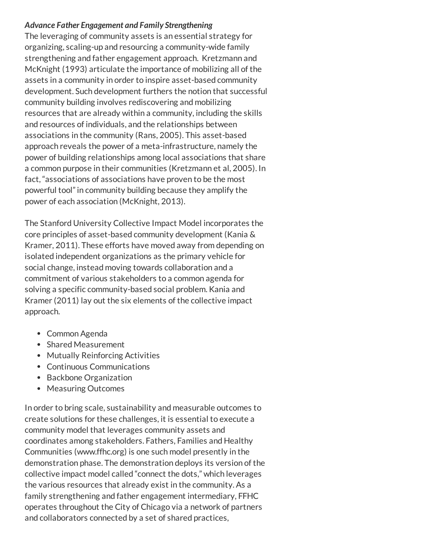#### *Advance Father Engagement and Family Strengthening*

The leveraging of community assets is an essential strategy for organizing, scaling-up and resourcing a community-wide family strengthening and father engagement approach. Kretzmann and McKnight (1993) articulate the importance of mobilizing all of the assets in a community in order to inspire asset-based community development. Such development furthers the notion that successful community building involves rediscovering and mobilizing resources that are already within a community, including the skills and resources of individuals, and the relationships between associations in the community (Rans, 2005). This asset-based approach reveals the power of a meta-infrastructure, namely the power of building relationships among local associations that share a common purpose in their communities (Kretzmann et al, 2005). In fact, "associations of associations have proven to be the most powerful tool"in community building because they amplify the power of each association (McKnight, 2013).

The Stanford University Collective Impact Model incorporates the core principles of asset-based community development (Kania & Kramer, 2011). These efforts have moved away from depending on isolated independent organizations as the primary vehicle for social change, instead moving towards collaboration and a commitment of various stakeholders to a common agenda for solving a specific community-based social problem. Kania and Kramer (2011) lay out the six elements of the collective impact approach.

- Common Agenda
- Shared Measurement
- Mutually Reinforcing Activities
- Continuous Communications
- Backbone Organization
- Measuring Outcomes

In order to bring scale, sustainability and measurable outcomes to create solutions for these challenges, it is essential to execute a community model that leverages community assets and coordinates among stakeholders. Fathers, Families and Healthy Communities (www.ffhc.org) is one such model presently in the demonstration phase. The demonstration deploys its version of the collective impact model called "connect the dots," which leverages the various resources that already exist in the community. As a family strengthening and father engagement intermediary, FFHC operates throughout the City of Chicago via a network of partners and collaborators connected by a set of shared practices,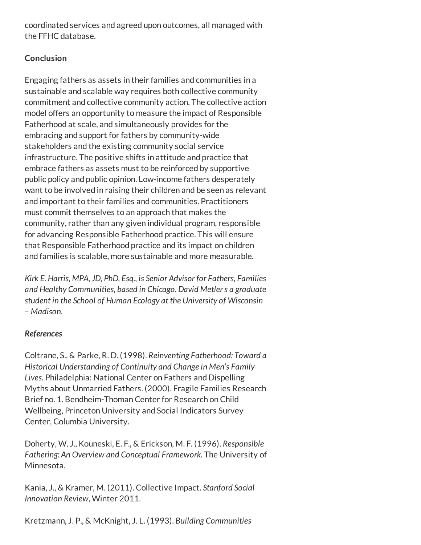coordinated services and agreed upon outcomes, all managed with the FFHC database.

#### **Conclusion**

Engaging fathers as assets in their families and communities in a sustainable and scalable way requires both collective community commitment and collective community action. The collective action model offers an opportunity to measure the impact of Responsible Fatherhood at scale, and simultaneously provides for the embracing and support for fathers by community-wide stakeholders and the existing community social service infrastructure. The positive shifts in attitude and practice that embrace fathers as assets must to be reinforced by supportive public policy and public opinion. Low-income fathers desperately want to be involved in raising their children and be seen as relevant and important to their families and communities. Practitioners must commit themselves to an approach that makes the community, rather than any given individual program, responsible for advancing Responsible Fatherhood practice. This will ensure that Responsible Fatherhood practice and its impact on children and families is scalable, more sustainable and more measurable.

*Kirk E. Harris, MPA, JD, PhD, Esq., is Senior Advisor for Fathers, Families and Healthy Communities, based in Chicago. David Metlers a graduate student in the School of Human Ecology at the University of Wisconsin – Madison.*

#### *References*

Coltrane, S., & Parke, R. D. (1998). *Reinventing Fatherhood: Toward a Historical Understanding of Continuity and Change in Men's Family Lives*. Philadelphia: National Center on Fathers and Dispelling Myths about Unmarried Fathers. (2000). Fragile Families Research Brief no. 1. Bendheim-Thoman Center for Research on Child Wellbeing, Princeton University and Social Indicators Survey Center, Columbia University.

Doherty, W. J., Kouneski, E. F., & Erickson, M. F. (1996). *Responsible Fathering: An Overview and Conceptual Framework.* The University of Minnesota.

Kania, J., & Kramer, M. (2011). Collective Impact. *Stanford Social Innovation Review*, Winter 2011.

Kretzmann, J. P., & McKnight, J. L. (1993). *Building Communities*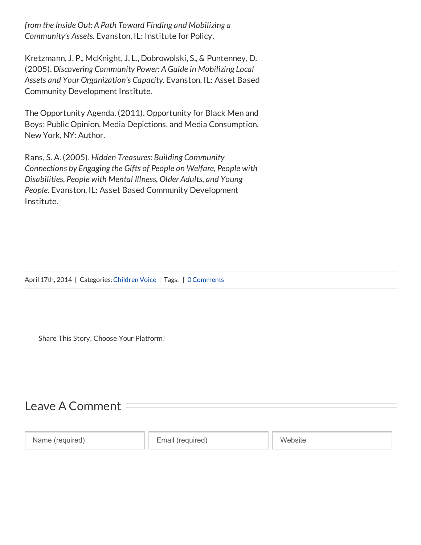*from the Inside Out: A Path Toward Finding and Mobilizing a Community's Assets.* Evanston, IL: Institute for Policy.

Kretzmann, J. P., McKnight, J. L., Dobrowolski, S., & Puntenney, D. (2005). *Discovering Community Power: A Guide in Mobilizing Local Assets and Your Organization's Capacity*. Evanston, IL: Asset Based Community Development Institute.

The Opportunity Agenda. (2011). Opportunity for Black Men and Boys: Public Opinion, Media Depictions, and Media Consumption. New York, NY: Author.

Rans, S. A. (2005). *Hidden Treasures: Building Community Connections by Engaging the Gifts of People on Welfare, People with Disabilities, People with Mental Illness, Older Adults, and Young People*. Evanston, IL: Asset Based Community Development Institute.

April 17th, 2014 | Categories: [Children](http://www.cwla.org/category/children-voice/) Voice | Tags: | 0 Comments

Share This Story, Choose Your Platform!

## <span id="page-8-0"></span>Leave A Comment

Name (required) **Email (required)** Website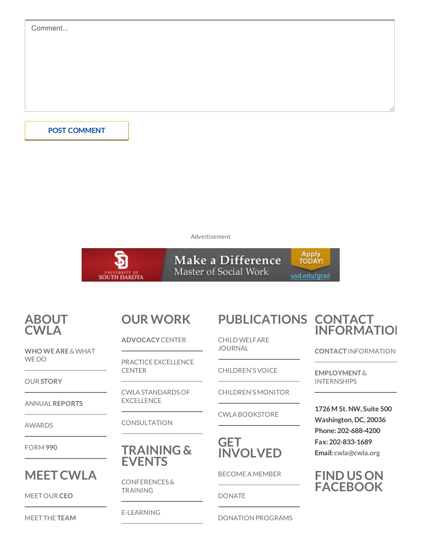| Comment             |  |   |
|---------------------|--|---|
|                     |  |   |
|                     |  |   |
|                     |  |   |
|                     |  |   |
|                     |  | 6 |
|                     |  |   |
| <b>POST COMMENT</b> |  |   |
|                     |  |   |

Advertisement



## [ABOUT](http://cwla.org/about-us/) CWLA

WHO WE ARE & WHAT WE DO

OUR [STORY](http://www.cwla.org/about-us/history/)

ANNUAL[REPORTS](http://www.cwla.org/about-us/annual-reports/)

[AWARDS](http://www.cwla.org/about-us/awards/)

[FORM](http://cwla.org/wp-content/uploads/2014/06/990.pdf) 990

## **MEET CWLA**

[MEET](http://www.cwla.org/about-us/meet-our-ceo/) OUR CEO

MEET THE [TEAM](http://www.cwla.org/about-us/meet-the-team/)

# OUR [WORK](http://cwla.org/our-work/)

[ADVOCACY](http://www.cwla.org/our-work/advocacy/) CENTER

PRACTICE [EXCELLENCE](http://www.cwla.org/our-work/practice-excellence-center/) **CENTER** 

[CWLASTANDARDSOF](http://www.cwla.org/our-work/cwla-standards-of-excellence/) EXCELLENCE

**[CONSULTATION](http://www.cwla.org/consultation/)** 

### [TRAINING](http://cwla.org/conferences-events/) & EVENTS

[CONFERENCES&](http://www.cwla.org/conferences-events/conferences-trainings/) TRAINING

[E-LEARNING](http://www.cwla.org/conferences-events/e-learning/)

[PUBLICATIONS](http://cwla.org/publications/) CONTACT

[CHILDWELFARE](http://www.cwla.org/child-welfare-journal/) JOURNAL

[CHILDREN'SVOICE](http://www.cwla.org/childrens-voice/)

[CHILDREN'SMONITOR](http://www.cwla.org/childrens-monitor/)

CWLABOOKSTORE



[BECOMEAMEMBER](http://www.cwla.org/membership/)

[DONATE](http://www.cwla.org/donate/)

DONATION PROGRAMS

# **[INFORMATION](http://cwla.org/about-us/contact/)**

CONTACT [INFORMATION](http://www.cwla.org/about-us/contact/)

[EMPLOYMENT](http://www.cwla.org/about-us/employment-internships/) & INTERNSHIPS

1726M St. NW, Suite 500 Washington, DC, 20036 Phone:202-688-4200 Fax:202-833-1689 Email: [cwla@cwla.org](mailto:cwla@cwla.org)